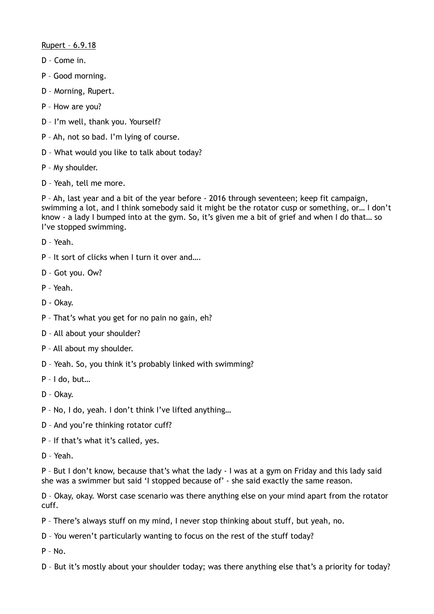## Rupert – 6.9.18

- D Come in.
- P Good morning.
- D Morning, Rupert.
- P How are you?
- D I'm well, thank you. Yourself?
- P Ah, not so bad. I'm lying of course.
- D What would you like to talk about today?
- P My shoulder.
- D Yeah, tell me more.

P – Ah, last year and a bit of the year before - 2016 through seventeen; keep fit campaign, swimming a lot, and I think somebody said it might be the rotator cusp or something, or… I don't know - a lady I bumped into at the gym. So, it's given me a bit of grief and when I do that… so I've stopped swimming.

D – Yeah.

- P It sort of clicks when I turn it over and….
- D Got you. Ow?
- P Yeah.
- D Okay.
- P That's what you get for no pain no gain, eh?
- D All about your shoulder?
- P All about my shoulder.
- D Yeah. So, you think it's probably linked with swimming?
- P I do, but…
- D Okay.
- P No, I do, yeah. I don't think I've lifted anything…
- D And you're thinking rotator cuff?
- P If that's what it's called, yes.
- D Yeah.

P – But I don't know, because that's what the lady - I was at a gym on Friday and this lady said she was a swimmer but said 'I stopped because of' - she said exactly the same reason.

D – Okay, okay. Worst case scenario was there anything else on your mind apart from the rotator cuff.

- P There's always stuff on my mind, I never stop thinking about stuff, but yeah, no.
- D You weren't particularly wanting to focus on the rest of the stuff today?

 $P - No.$ 

D – But it's mostly about your shoulder today; was there anything else that's a priority for today?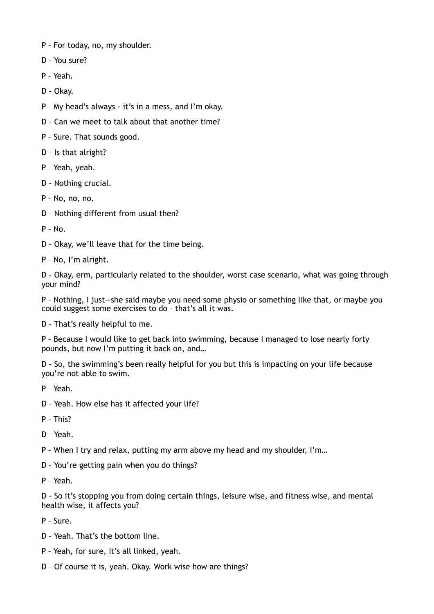- P For today, no, my shoulder.
- D You sure?
- P Yeah.
- D Okay.
- P My head's always it's in a mess, and I'm okay.
- D Can we meet to talk about that another time?
- P Sure. That sounds good.
- D Is that alright?
- P Yeah, yeah.
- D Nothing crucial.
- P No, no, no.
- D Nothing different from usual then?
- $P No$ .
- D Okay, we'll leave that for the time being.
- P No, I'm alright.

D – Okay, erm, particularly related to the shoulder, worst case scenario, what was going through your mind?

P – Nothing, I just—she said maybe you need some physio or something like that, or maybe you could suggest some exercises to do – that's all it was.

D – That's really helpful to me.

P – Because I would like to get back into swimming, because I managed to lose nearly forty pounds, but now I'm putting it back on, and…

D – So, the swimming's been really helpful for you but this is impacting on your life because you're not able to swim.

- P Yeah.
- D Yeah. How else has it affected your life?
- P This?
- D Yeah.
- P When I try and relax, putting my arm above my head and my shoulder, I'm…
- D You're getting pain when you do things?
- P Yeah.

D – So it's stopping you from doing certain things, leisure wise, and fitness wise, and mental health wise, it affects you?

P – Sure.

- D Yeah. That's the bottom line.
- P Yeah, for sure, it's all linked, yeah.
- D Of course it is, yeah. Okay. Work wise how are things?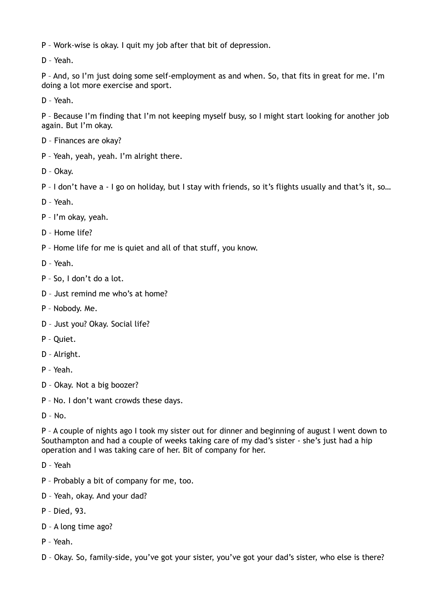P – Work-wise is okay. I quit my job after that bit of depression.

D – Yeah.

P – And, so I'm just doing some self-employment as and when. So, that fits in great for me. I'm doing a lot more exercise and sport.

D – Yeah.

P – Because I'm finding that I'm not keeping myself busy, so I might start looking for another job again. But I'm okay.

- D Finances are okay?
- P Yeah, yeah, yeah. I'm alright there.
- D Okay.
- P I don't have a I go on holiday, but I stay with friends, so it's flights usually and that's it, so…
- D Yeah.
- P I'm okay, yeah.
- D Home life?
- P Home life for me is quiet and all of that stuff, you know.
- D Yeah.
- P So, I don't do a lot.
- D Just remind me who's at home?
- P Nobody. Me.
- D Just you? Okay. Social life?
- P Quiet.
- D Alright.
- P Yeah.
- D Okay. Not a big boozer?
- P No. I don't want crowds these days.
- D No.

P – A couple of nights ago I took my sister out for dinner and beginning of august I went down to Southampton and had a couple of weeks taking care of my dad's sister - she's just had a hip operation and I was taking care of her. Bit of company for her.

- D Yeah
- P Probably a bit of company for me, too.
- D Yeah, okay. And your dad?
- P Died, 93.
- D A long time ago?
- P Yeah.
- D Okay. So, family-side, you've got your sister, you've got your dad's sister, who else is there?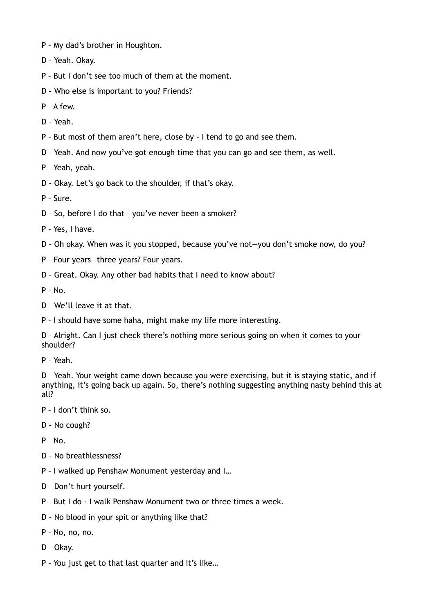- P My dad's brother in Houghton.
- D Yeah. Okay.
- P But I don't see too much of them at the moment.
- D Who else is important to you? Friends?
- P A few.
- D Yeah.
- P But most of them aren't here, close by I tend to go and see them.
- D Yeah. And now you've got enough time that you can go and see them, as well.
- P Yeah, yeah.
- D Okay. Let's go back to the shoulder, if that's okay.
- P Sure.
- D So, before I do that you've never been a smoker?
- P Yes, I have.
- D Oh okay. When was it you stopped, because you've not—you don't smoke now, do you?
- P Four years—three years? Four years.
- D Great. Okay. Any other bad habits that I need to know about?

P – No.

- D We'll leave it at that.
- P I should have some haha, might make my life more interesting.

D – Alright. Can I just check there's nothing more serious going on when it comes to your shoulder?

P – Yeah.

D – Yeah. Your weight came down because you were exercising, but it is staying static, and if anything, it's going back up again. So, there's nothing suggesting anything nasty behind this at all?

- P I don't think so.
- D No cough?
- $P No$ .
- D No breathlessness?
- P I walked up Penshaw Monument yesterday and I…
- D Don't hurt yourself.
- P But I do I walk Penshaw Monument two or three times a week.
- D No blood in your spit or anything like that?
- P No, no, no.
- D Okay.
- P You just get to that last quarter and it's like…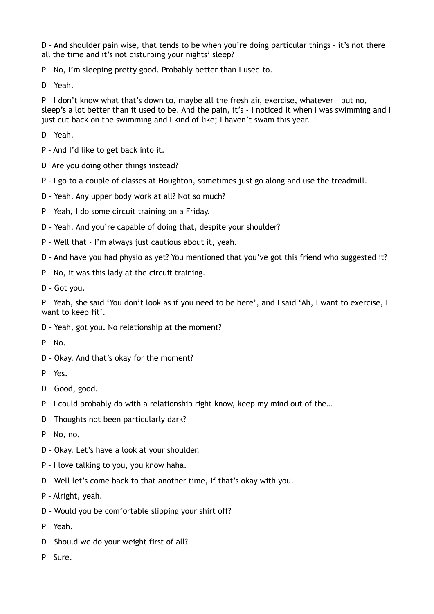D – And shoulder pain wise, that tends to be when you're doing particular things – it's not there all the time and it's not disturbing your nights' sleep?

P – No, I'm sleeping pretty good. Probably better than I used to.

D – Yeah.

P – I don't know what that's down to, maybe all the fresh air, exercise, whatever – but no, sleep's a lot better than it used to be. And the pain, it's - I noticed it when I was swimming and I just cut back on the swimming and I kind of like; I haven't swam this year.

D – Yeah.

P – And I'd like to get back into it.

D –Are you doing other things instead?

P - I go to a couple of classes at Houghton, sometimes just go along and use the treadmill.

- D Yeah. Any upper body work at all? Not so much?
- P Yeah, I do some circuit training on a Friday.
- D Yeah. And you're capable of doing that, despite your shoulder?
- P Well that I'm always just cautious about it, yeah.
- D And have you had physio as yet? You mentioned that you've got this friend who suggested it?
- P No, it was this lady at the circuit training.
- D Got you.

P – Yeah, she said 'You don't look as if you need to be here', and I said 'Ah, I want to exercise, I want to keep fit'.

- D Yeah, got you. No relationship at the moment?
- P No.
- D Okay. And that's okay for the moment?
- P Yes.
- D Good, good.
- P I could probably do with a relationship right know, keep my mind out of the…
- D Thoughts not been particularly dark?

P – No, no.

- D Okay. Let's have a look at your shoulder.
- P I love talking to you, you know haha.
- D Well let's come back to that another time, if that's okay with you.
- P Alright, yeah.
- D Would you be comfortable slipping your shirt off?
- P Yeah.
- D Should we do your weight first of all?
- P Sure.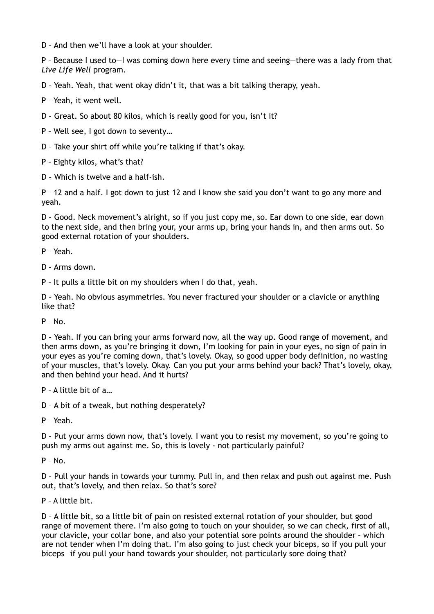D – And then we'll have a look at your shoulder.

P – Because I used to—I was coming down here every time and seeing—there was a lady from that *Live Life Well* program.

D – Yeah. Yeah, that went okay didn't it, that was a bit talking therapy, yeah.

- P Yeah, it went well.
- D Great. So about 80 kilos, which is really good for you, isn't it?
- P Well see, I got down to seventy…
- D Take your shirt off while you're talking if that's okay.
- P Eighty kilos, what's that?
- D Which is twelve and a half-ish.

P – 12 and a half. I got down to just 12 and I know she said you don't want to go any more and yeah.

D – Good. Neck movement's alright, so if you just copy me, so. Ear down to one side, ear down to the next side, and then bring your, your arms up, bring your hands in, and then arms out. So good external rotation of your shoulders.

P – Yeah.

- D Arms down.
- P It pulls a little bit on my shoulders when I do that, yeah.

D – Yeah. No obvious asymmetries. You never fractured your shoulder or a clavicle or anything like that?

 $P - N<sub>0</sub>$ 

D – Yeah. If you can bring your arms forward now, all the way up. Good range of movement, and then arms down, as you're bringing it down, I'm looking for pain in your eyes, no sign of pain in your eyes as you're coming down, that's lovely. Okay, so good upper body definition, no wasting of your muscles, that's lovely. Okay. Can you put your arms behind your back? That's lovely, okay, and then behind your head. And it hurts?

- P A little bit of a…
- D A bit of a tweak, but nothing desperately?
- P Yeah.

D – Put your arms down now, that's lovely. I want you to resist my movement, so you're going to push my arms out against me. So, this is lovely - not particularly painful?

 $P - No.$ 

D – Pull your hands in towards your tummy. Pull in, and then relax and push out against me. Push out, that's lovely, and then relax. So that's sore?

P – A little bit.

D – A little bit, so a little bit of pain on resisted external rotation of your shoulder, but good range of movement there. I'm also going to touch on your shoulder, so we can check, first of all, your clavicle, your collar bone, and also your potential sore points around the shoulder – which are not tender when I'm doing that. I'm also going to just check your biceps, so if you pull your biceps—if you pull your hand towards your shoulder, not particularly sore doing that?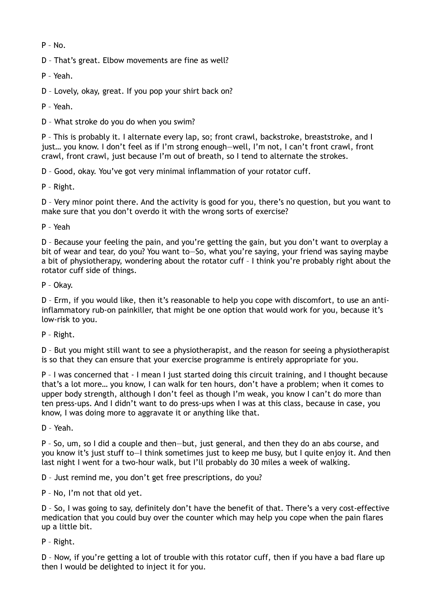$P - No.$ 

D – That's great. Elbow movements are fine as well?

P – Yeah.

D – Lovely, okay, great. If you pop your shirt back on?

P – Yeah.

D – What stroke do you do when you swim?

P – This is probably it. I alternate every lap, so; front crawl, backstroke, breaststroke, and I just… you know. I don't feel as if I'm strong enough—well, I'm not, I can't front crawl, front crawl, front crawl, just because I'm out of breath, so I tend to alternate the strokes.

D – Good, okay. You've got very minimal inflammation of your rotator cuff.

P – Right.

D – Very minor point there. And the activity is good for you, there's no question, but you want to make sure that you don't overdo it with the wrong sorts of exercise?

P – Yeah

D – Because your feeling the pain, and you're getting the gain, but you don't want to overplay a bit of wear and tear, do you? You want to—So, what you're saying, your friend was saying maybe a bit of physiotherapy, wondering about the rotator cuff – I think you're probably right about the rotator cuff side of things.

P – Okay.

D – Erm, if you would like, then it's reasonable to help you cope with discomfort, to use an antiinflammatory rub-on painkiller, that might be one option that would work for you, because it's low-risk to you.

P – Right.

D – But you might still want to see a physiotherapist, and the reason for seeing a physiotherapist is so that they can ensure that your exercise programme is entirely appropriate for you.

P – I was concerned that - I mean I just started doing this circuit training, and I thought because that's a lot more… you know, I can walk for ten hours, don't have a problem; when it comes to upper body strength, although I don't feel as though I'm weak, you know I can't do more than ten press-ups. And I didn't want to do press-ups when I was at this class, because in case, you know, I was doing more to aggravate it or anything like that.

D – Yeah.

P – So, um, so I did a couple and then—but, just general, and then they do an abs course, and you know it's just stuff to—I think sometimes just to keep me busy, but I quite enjoy it. And then last night I went for a two-hour walk, but I'll probably do 30 miles a week of walking.

D – Just remind me, you don't get free prescriptions, do you?

P – No, I'm not that old yet.

D – So, I was going to say, definitely don't have the benefit of that. There's a very cost-effective medication that you could buy over the counter which may help you cope when the pain flares up a little bit.

P – Right.

D – Now, if you're getting a lot of trouble with this rotator cuff, then if you have a bad flare up then I would be delighted to inject it for you.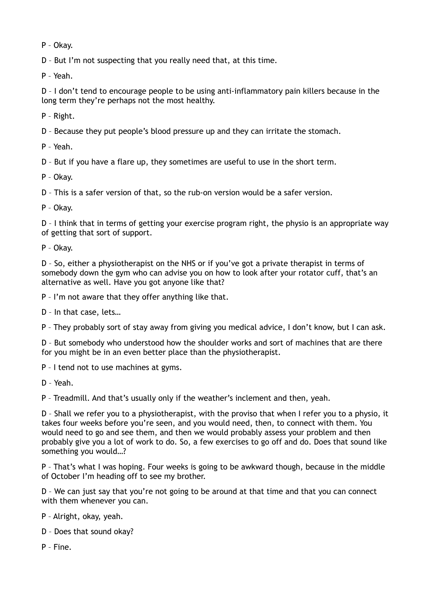P – Okay.

D – But I'm not suspecting that you really need that, at this time.

P – Yeah.

D – I don't tend to encourage people to be using anti-inflammatory pain killers because in the long term they're perhaps not the most healthy.

P – Right.

D – Because they put people's blood pressure up and they can irritate the stomach.

P – Yeah.

D – But if you have a flare up, they sometimes are useful to use in the short term.

P – Okay.

D – This is a safer version of that, so the rub-on version would be a safer version.

P – Okay.

D – I think that in terms of getting your exercise program right, the physio is an appropriate way of getting that sort of support.

P – Okay.

D – So, either a physiotherapist on the NHS or if you've got a private therapist in terms of somebody down the gym who can advise you on how to look after your rotator cuff, that's an alternative as well. Have you got anyone like that?

P – I'm not aware that they offer anything like that.

D – In that case, lets…

P – They probably sort of stay away from giving you medical advice, I don't know, but I can ask.

D – But somebody who understood how the shoulder works and sort of machines that are there for you might be in an even better place than the physiotherapist.

P – I tend not to use machines at gyms.

D – Yeah.

P – Treadmill. And that's usually only if the weather's inclement and then, yeah.

D – Shall we refer you to a physiotherapist, with the proviso that when I refer you to a physio, it takes four weeks before you're seen, and you would need, then, to connect with them. You would need to go and see them, and then we would probably assess your problem and then probably give you a lot of work to do. So, a few exercises to go off and do. Does that sound like something you would…?

P – That's what I was hoping. Four weeks is going to be awkward though, because in the middle of October I'm heading off to see my brother.

D – We can just say that you're not going to be around at that time and that you can connect with them whenever you can.

P – Alright, okay, yeah.

D – Does that sound okay?

P – Fine.